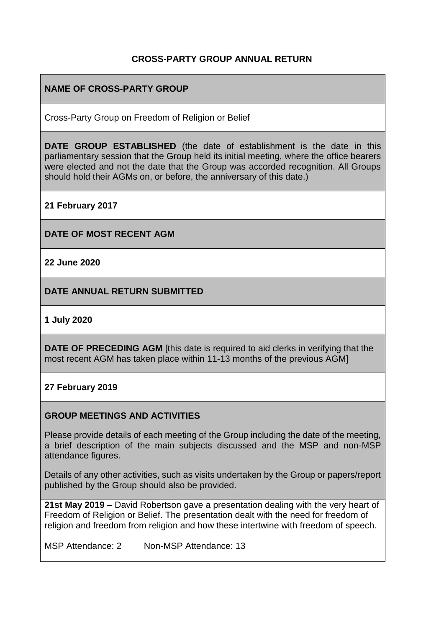## **CROSS-PARTY GROUP ANNUAL RETURN**

## **NAME OF CROSS-PARTY GROUP**

Cross-Party Group on Freedom of Religion or Belief

**DATE GROUP ESTABLISHED** (the date of establishment is the date in this parliamentary session that the Group held its initial meeting, where the office bearers were elected and not the date that the Group was accorded recognition. All Groups should hold their AGMs on, or before, the anniversary of this date.)

**21 February 2017**

**DATE OF MOST RECENT AGM**

**22 June 2020**

**DATE ANNUAL RETURN SUBMITTED**

**1 July 2020**

**DATE OF PRECEDING AGM** [this date is required to aid clerks in verifying that the most recent AGM has taken place within 11-13 months of the previous AGM]

## **27 February 2019**

## **GROUP MEETINGS AND ACTIVITIES**

Please provide details of each meeting of the Group including the date of the meeting, a brief description of the main subjects discussed and the MSP and non-MSP attendance figures.

Details of any other activities, such as visits undertaken by the Group or papers/report published by the Group should also be provided.

**21st May 2019** – David Robertson gave a presentation dealing with the very heart of Freedom of Religion or Belief. The presentation dealt with the need for freedom of religion and freedom from religion and how these intertwine with freedom of speech.

MSP Attendance: 2 Non-MSP Attendance: 13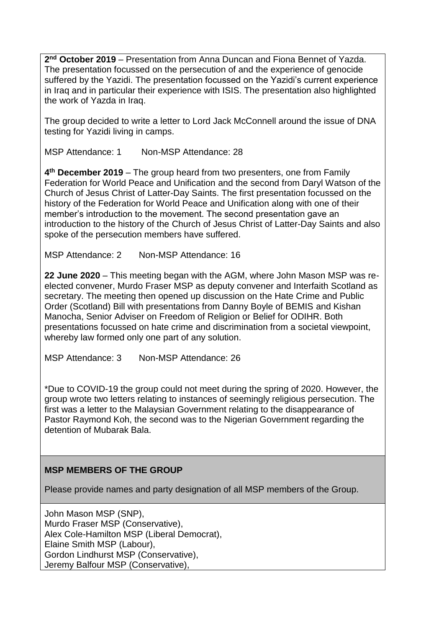**2 nd October 2019** – Presentation from Anna Duncan and Fiona Bennet of Yazda. The presentation focussed on the persecution of and the experience of genocide suffered by the Yazidi. The presentation focussed on the Yazidi's current experience in Iraq and in particular their experience with ISIS. The presentation also highlighted the work of Yazda in Iraq.

The group decided to write a letter to Lord Jack McConnell around the issue of DNA testing for Yazidi living in camps.

MSP Attendance: 1 Non-MSP Attendance: 28

**4 th December 2019** – The group heard from two presenters, one from Family Federation for World Peace and Unification and the second from Daryl Watson of the Church of Jesus Christ of Latter-Day Saints. The first presentation focussed on the history of the Federation for World Peace and Unification along with one of their member's introduction to the movement. The second presentation gave an introduction to the history of the Church of Jesus Christ of Latter-Day Saints and also spoke of the persecution members have suffered.

MSP Attendance: 2 Non-MSP Attendance: 16

**22 June 2020** – This meeting began with the AGM, where John Mason MSP was reelected convener, Murdo Fraser MSP as deputy convener and Interfaith Scotland as secretary. The meeting then opened up discussion on the Hate Crime and Public Order (Scotland) Bill with presentations from Danny Boyle of BEMIS and Kishan Manocha, Senior Adviser on Freedom of Religion or Belief for ODIHR. Both presentations focussed on hate crime and discrimination from a societal viewpoint, whereby law formed only one part of any solution.

MSP Attendance: 3 Non-MSP Attendance: 26

\*Due to COVID-19 the group could not meet during the spring of 2020. However, the group wrote two letters relating to instances of seemingly religious persecution. The first was a letter to the Malaysian Government relating to the disappearance of Pastor Raymond Koh, the second was to the Nigerian Government regarding the detention of Mubarak Bala.

## **MSP MEMBERS OF THE GROUP**

Please provide names and party designation of all MSP members of the Group.

John Mason MSP (SNP), Murdo Fraser MSP (Conservative), Alex Cole-Hamilton MSP (Liberal Democrat), Elaine Smith MSP (Labour), Gordon Lindhurst MSP (Conservative), Jeremy Balfour MSP (Conservative),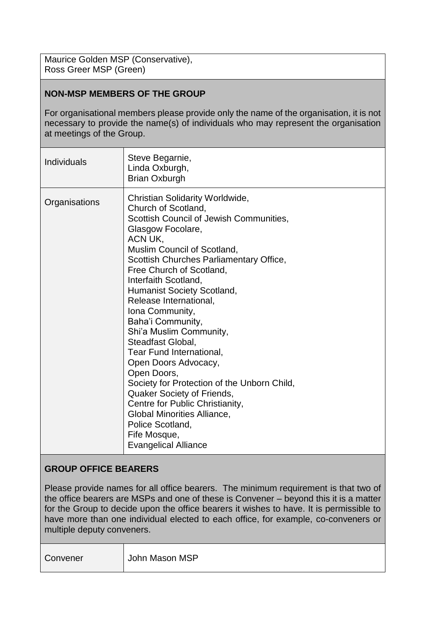Maurice Golden MSP (Conservative), Ross Greer MSP (Green)

## **NON-MSP MEMBERS OF THE GROUP**

For organisational members please provide only the name of the organisation, it is not necessary to provide the name(s) of individuals who may represent the organisation at meetings of the Group.

| <b>Individuals</b> | Steve Begarnie,<br>Linda Oxburgh,<br><b>Brian Oxburgh</b>                                                                                                                                                                                                                                                                                                                                                                                                                                                                                                                                                                                                                                                          |
|--------------------|--------------------------------------------------------------------------------------------------------------------------------------------------------------------------------------------------------------------------------------------------------------------------------------------------------------------------------------------------------------------------------------------------------------------------------------------------------------------------------------------------------------------------------------------------------------------------------------------------------------------------------------------------------------------------------------------------------------------|
| Organisations      | Christian Solidarity Worldwide,<br>Church of Scotland,<br>Scottish Council of Jewish Communities,<br>Glasgow Focolare,<br>ACN UK,<br>Muslim Council of Scotland,<br>Scottish Churches Parliamentary Office,<br>Free Church of Scotland,<br>Interfaith Scotland,<br><b>Humanist Society Scotland,</b><br>Release International,<br>Iona Community,<br>Baha'i Community,<br>Shi'a Muslim Community,<br>Steadfast Global,<br>Tear Fund International,<br>Open Doors Advocacy,<br>Open Doors,<br>Society for Protection of the Unborn Child,<br>Quaker Society of Friends,<br>Centre for Public Christianity,<br><b>Global Minorities Alliance,</b><br>Police Scotland,<br>Fife Mosque,<br><b>Evangelical Alliance</b> |

#### **GROUP OFFICE BEARERS**

Please provide names for all office bearers. The minimum requirement is that two of the office bearers are MSPs and one of these is Convener – beyond this it is a matter for the Group to decide upon the office bearers it wishes to have. It is permissible to have more than one individual elected to each office, for example, co-conveners or multiple deputy conveners.

|--|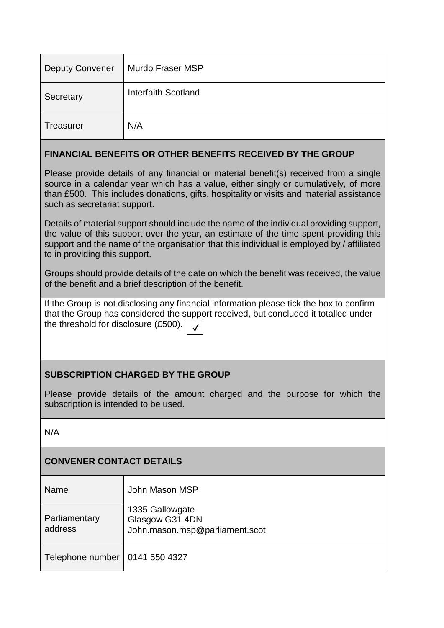| <b>Deputy Convener</b>                                                                                                                                                                                                                                                                                          | Murdo Fraser MSP    |  |
|-----------------------------------------------------------------------------------------------------------------------------------------------------------------------------------------------------------------------------------------------------------------------------------------------------------------|---------------------|--|
| Secretary                                                                                                                                                                                                                                                                                                       | Interfaith Scotland |  |
| <b>Treasurer</b>                                                                                                                                                                                                                                                                                                | N/A                 |  |
| <b>FINANCIAL BENEFITS OR OTHER BENEFITS RECEIVED BY THE GROUP</b>                                                                                                                                                                                                                                               |                     |  |
| Please provide details of any financial or material benefit(s) received from a single<br>source in a calendar year which has a value, either singly or cumulatively, of more<br>than £500. This includes donations, gifts, hospitality or visits and material assistance<br>such as secretariat support.        |                     |  |
| Details of material support should include the name of the individual providing support,<br>the value of this support over the year, an estimate of the time spent providing this<br>support and the name of the organisation that this individual is employed by / affiliated<br>to in providing this support. |                     |  |
| Groups should provide details of the date on which the benefit was received, the value<br>of the benefit and a brief description of the benefit.                                                                                                                                                                |                     |  |
| If the Group is not disclosing any financial information please tick the box to confirm<br>that the Group has considered the support received, but concluded it totalled under<br>the threshold for disclosure (£500).                                                                                          |                     |  |

# **SUBSCRIPTION CHARGED BY THE GROUP**

Please provide details of the amount charged and the purpose for which the subscription is intended to be used.

N/A

# **CONVENER CONTACT DETAILS**

| Name                             | John Mason MSP                                                       |
|----------------------------------|----------------------------------------------------------------------|
| Parliamentary<br>address         | 1335 Gallowgate<br>Glasgow G31 4DN<br>John.mason.msp@parliament.scot |
| Telephone number   0141 550 4327 |                                                                      |